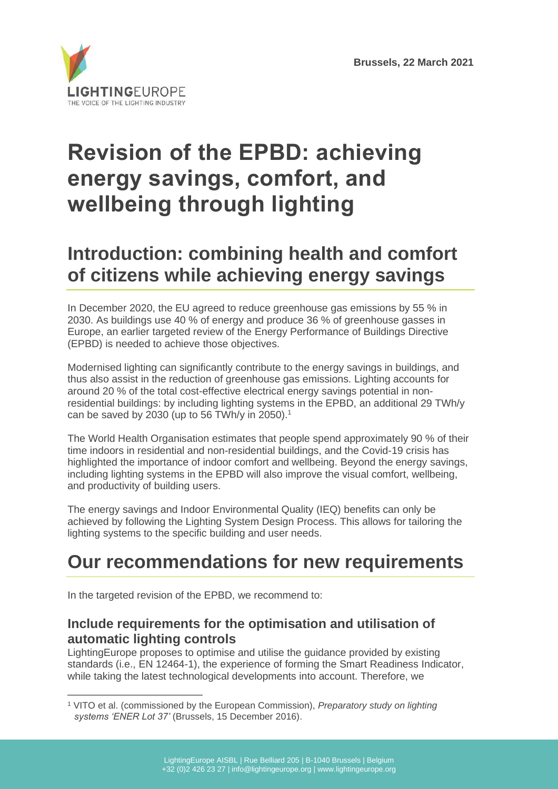

# **Revision of the EPBD: achieving energy savings, comfort, and wellbeing through lighting**

# **Introduction: combining health and comfort of citizens while achieving energy savings**

In December 2020, the EU agreed to reduce greenhouse gas emissions by 55 % in 2030. As buildings use 40 % of energy and produce 36 % of greenhouse gasses in Europe, an earlier targeted review of the Energy Performance of Buildings Directive (EPBD) is needed to achieve those objectives.

Modernised lighting can significantly contribute to the energy savings in buildings, and thus also assist in the reduction of greenhouse gas emissions. Lighting accounts for around 20 % of the total cost-effective electrical energy savings potential in nonresidential buildings: by including lighting systems in the EPBD, an additional 29 TWh/y can be saved by 2030 (up to 56 TWh/y in 2050).<sup>1</sup>

The World Health Organisation estimates that people spend approximately 90 % of their time indoors in residential and non-residential buildings, and the Covid-19 crisis has highlighted the importance of indoor comfort and wellbeing. Beyond the energy savings, including lighting systems in the EPBD will also improve the visual comfort, wellbeing, and productivity of building users.

The energy savings and Indoor Environmental Quality (IEQ) benefits can only be achieved by following the Lighting System Design Process. This allows for tailoring the lighting systems to the specific building and user needs.

# **Our recommendations for new requirements**

In the targeted revision of the EPBD, we recommend to:

# **Include requirements for the optimisation and utilisation of automatic lighting controls**

LightingEurope proposes to optimise and utilise the guidance provided by existing standards (i.e., EN 12464-1), the experience of forming the Smart Readiness Indicator, while taking the latest technological developments into account. Therefore, we

<sup>1</sup> VITO et al. (commissioned by the European Commission), *Preparatory study on lighting systems 'ENER Lot 37'* (Brussels, 15 December 2016).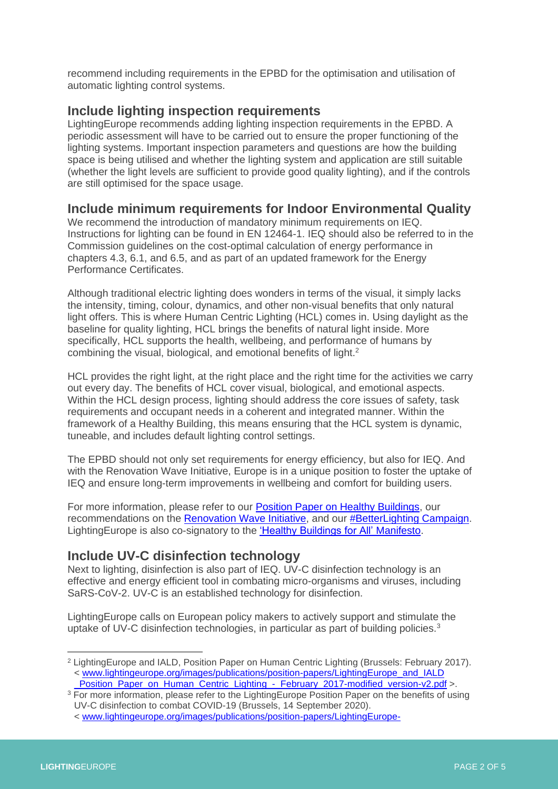recommend including requirements in the EPBD for the optimisation and utilisation of automatic lighting control systems.

### **Include lighting inspection requirements**

LightingEurope recommends adding lighting inspection requirements in the EPBD. A periodic assessment will have to be carried out to ensure the proper functioning of the lighting systems. Important inspection parameters and questions are how the building space is being utilised and whether the lighting system and application are still suitable (whether the light levels are sufficient to provide good quality lighting), and if the controls are still optimised for the space usage.

### **Include minimum requirements for Indoor Environmental Quality**

We recommend the introduction of mandatory minimum requirements on IEQ. Instructions for lighting can be found in EN 12464-1. IEQ should also be referred to in the Commission guidelines on the cost-optimal calculation of energy performance in chapters 4.3, 6.1, and 6.5, and as part of an updated framework for the Energy Performance Certificates.

Although traditional electric lighting does wonders in terms of the visual, it simply lacks the intensity, timing, colour, dynamics, and other non-visual benefits that only natural light offers. This is where Human Centric Lighting (HCL) comes in. Using daylight as the baseline for quality lighting, HCL brings the benefits of natural light inside. More specifically, HCL supports the health, wellbeing, and performance of humans by combining the visual, biological, and emotional benefits of light.<sup>2</sup>

HCL provides the right light, at the right place and the right time for the activities we carry out every day. The benefits of HCL cover visual, biological, and emotional aspects. Within the HCL design process, lighting should address the core issues of safety, task requirements and occupant needs in a coherent and integrated manner. Within the framework of a Healthy Building, this means ensuring that the HCL system is dynamic, tuneable, and includes default lighting control settings.

The EPBD should not only set requirements for energy efficiency, but also for IEQ. And with the Renovation Wave Initiative, Europe is in a unique position to foster the uptake of IEQ and ensure long-term improvements in wellbeing and comfort for building users.

For more information, please refer to our [Position Paper on Healthy Buildings,](https://www.lightingeurope.org/images/publications/position-papers/LightingEurope_-_Position_Paper_on_Healthy_Buildings_-_20191122.pdf) our recommendations on the [Renovation Wave Initiative,](https://www.lightingeurope.org/images/publications/position-papers/LE_-_RWI_-_Recommendations_to_EU_policymakers_-_20200930_.pdf) and our [#BetterLighting Campaign.](https://www.valueoflighting.eu/) LightingEurope is also co-signatory to the ['Healthy Buildings for All' Manifesto.](https://www.lightingeurope.org/images/publications/pr/PRESS_RELEASE_-_Healthy_Buildings_for_All_-_IEQ_Gathering_Manifesto_20200619.pdf)

#### **Include UV-C disinfection technology**

Next to lighting, disinfection is also part of IEQ. UV-C disinfection technology is an effective and energy efficient tool in combating micro-organisms and viruses, including SaRS-CoV-2. UV-C is an established technology for disinfection.

LightingEurope calls on European policy makers to actively support and stimulate the uptake of UV-C disinfection technologies, in particular as part of building policies. $3$ 

<sup>2</sup> LightingEurope and IALD, Position Paper on Human Centric Lighting (Brussels: February 2017). < [www.lightingeurope.org/images/publications/position-papers/LightingEurope\\_and\\_IALD](https://www.lightingeurope.org/images/publications/position-papers/LightingEurope_and_IALD_Position_Paper_on_Human_Centric_Lighting_-_February_2017-modified_version-v2.pdf)  [\\_Position\\_Paper\\_on\\_Human\\_Centric\\_Lighting\\_-\\_February\\_2017-modified\\_version-v2.pdf](https://www.lightingeurope.org/images/publications/position-papers/LightingEurope_and_IALD_Position_Paper_on_Human_Centric_Lighting_-_February_2017-modified_version-v2.pdf) >.

 $3$  For more information, please refer to the LightingEurope Position Paper on the benefits of using UV-C disinfection to combat COVID-19 (Brussels, 14 September 2020).

<sup>&</sup>lt; [www.lightingeurope.org/images/publications/position-papers/LightingEurope-](http://www.lightingeurope.org/images/publications/position-papers/LightingEurope-Position_Paper_on_the_benefits_of_using_UV-C_disinfection_to_combat_COVID-19_-_20200914.pdf)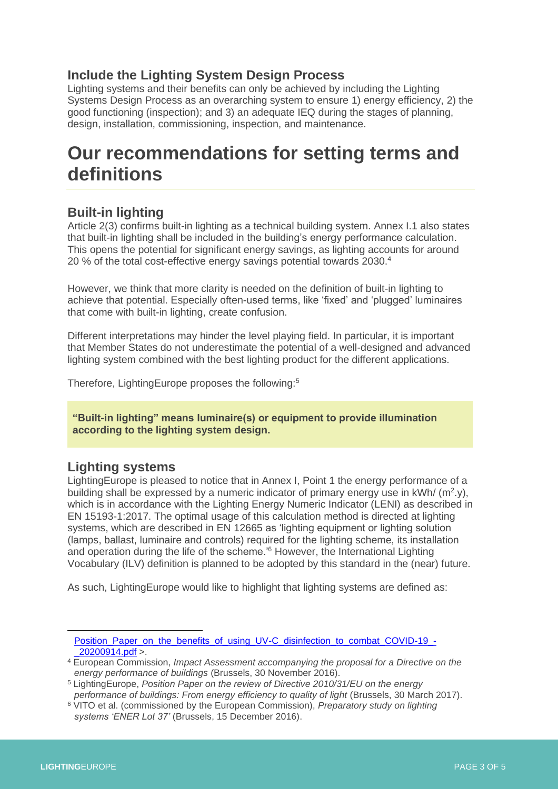# **Include the Lighting System Design Process**

Lighting systems and their benefits can only be achieved by including the Lighting Systems Design Process as an overarching system to ensure 1) energy efficiency, 2) the good functioning (inspection); and 3) an adequate IEQ during the stages of planning, design, installation, commissioning, inspection, and maintenance.

# **Our recommendations for setting terms and definitions**

### **Built-in lighting**

Article 2(3) confirms built-in lighting as a technical building system. Annex I.1 also states that built-in lighting shall be included in the building's energy performance calculation. This opens the potential for significant energy savings, as lighting accounts for around 20 % of the total cost-effective energy savings potential towards 2030.<sup>4</sup>

However, we think that more clarity is needed on the definition of built-in lighting to achieve that potential. Especially often-used terms, like 'fixed' and 'plugged' luminaires that come with built-in lighting, create confusion.

Different interpretations may hinder the level playing field. In particular, it is important that Member States do not underestimate the potential of a well-designed and advanced lighting system combined with the best lighting product for the different applications.

Therefore, LightingEurope proposes the following:<sup>5</sup>

**"Built-in lighting" means luminaire(s) or equipment to provide illumination according to the lighting system design.**

### **Lighting systems**

LightingEurope is pleased to notice that in Annex I, Point 1 the energy performance of a building shall be expressed by a numeric indicator of primary energy use in  $kWh/(m^2 y)$ , which is in accordance with the Lighting Energy Numeric Indicator (LENI) as described in EN 15193-1:2017. The optimal usage of this calculation method is directed at lighting systems, which are described in EN 12665 as 'lighting equipment or lighting solution (lamps, ballast, luminaire and controls) required for the lighting scheme, its installation and operation during the life of the scheme.'<sup>6</sup> However, the International Lighting Vocabulary (ILV) definition is planned to be adopted by this standard in the (near) future.

As such, LightingEurope would like to highlight that lighting systems are defined as:

[Position\\_Paper\\_on\\_the\\_benefits\\_of\\_using\\_UV-C\\_disinfection\\_to\\_combat\\_COVID-19\\_-](http://www.lightingeurope.org/images/publications/position-papers/LightingEurope-Position_Paper_on_the_benefits_of_using_UV-C_disinfection_to_combat_COVID-19_-_20200914.pdf) [\\_20200914.pdf](http://www.lightingeurope.org/images/publications/position-papers/LightingEurope-Position_Paper_on_the_benefits_of_using_UV-C_disinfection_to_combat_COVID-19_-_20200914.pdf) >.

<sup>4</sup> European Commission, *Impact Assessment accompanying the proposal for a Directive on the energy performance of buildings* (Brussels, 30 November 2016).

<sup>5</sup> LightingEurope, *Position Paper on the review of Directive 2010/31/EU on the energy performance of buildings: From energy efficiency to quality of light* (Brussels, 30 March 2017).

<sup>6</sup> VITO et al. (commissioned by the European Commission), *Preparatory study on lighting systems 'ENER Lot 37'* (Brussels, 15 December 2016).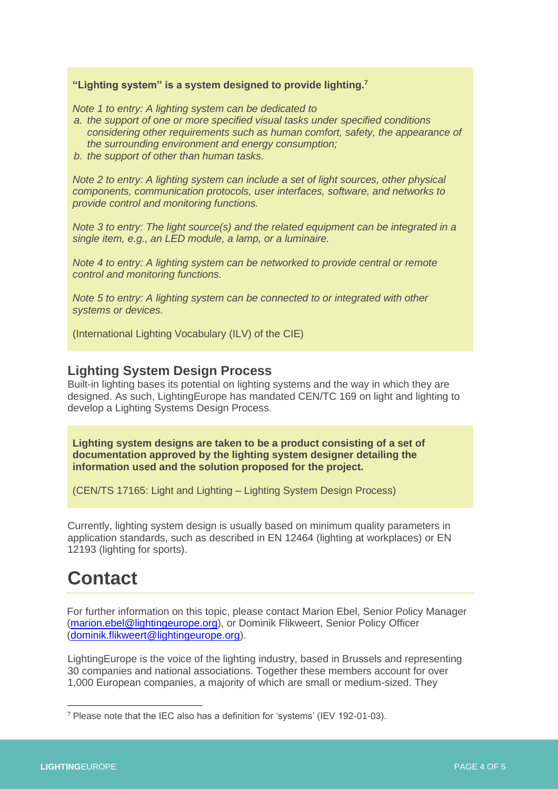#### **"Lighting system" is a system designed to provide lighting.<sup>7</sup>**

*Note 1 to entry: A lighting system can be dedicated to* 

- *a. the support of one or more specified visual tasks under specified conditions considering other requirements such as human comfort, safety, the appearance of the surrounding environment and energy consumption;*
- *b. the support of other than human tasks.*

*Note 2 to entry: A lighting system can include a set of light sources, other physical components, communication protocols, user interfaces, software, and networks to provide control and monitoring functions.* 

*Note 3 to entry: The light source(s) and the related equipment can be integrated in a single item, e.g., an LED module, a lamp, or a luminaire.* 

*Note 4 to entry: A lighting system can be networked to provide central or remote control and monitoring functions.* 

*Note 5 to entry: A lighting system can be connected to or integrated with other systems or devices.*

(International Lighting Vocabulary (ILV) of the CIE)

#### **Lighting System Design Process**

Built-in lighting bases its potential on lighting systems and the way in which they are designed. As such, LightingEurope has mandated CEN/TC 169 on light and lighting to develop a Lighting Systems Design Process.

**Lighting system designs are taken to be a product consisting of a set of documentation approved by the lighting system designer detailing the information used and the solution proposed for the project.** 

(CEN/TS 17165: Light and Lighting – Lighting System Design Process)

Currently, lighting system design is usually based on minimum quality parameters in application standards, such as described in EN 12464 (lighting at workplaces) or EN 12193 (lighting for sports).

# **Contact**

For further information on this topic, please contact Marion Ebel, Senior Policy Manager [\(marion.ebel@lightingeurope.org\)](mailto:marion.ebel@lightingeurope.org), or Dominik Flikweert, Senior Policy Officer [\(dominik.flikweert@lightingeurope.org\)](mailto:dominik.flikweert@lightingeurope.org).

LightingEurope is the voice of the lighting industry, based in Brussels and representing 30 companies and national associations. Together these members account for over 1,000 European companies, a majority of which are small or medium-sized. They

<sup>7</sup> Please note that the IEC also has a definition for 'systems' (IEV 192-01-03).